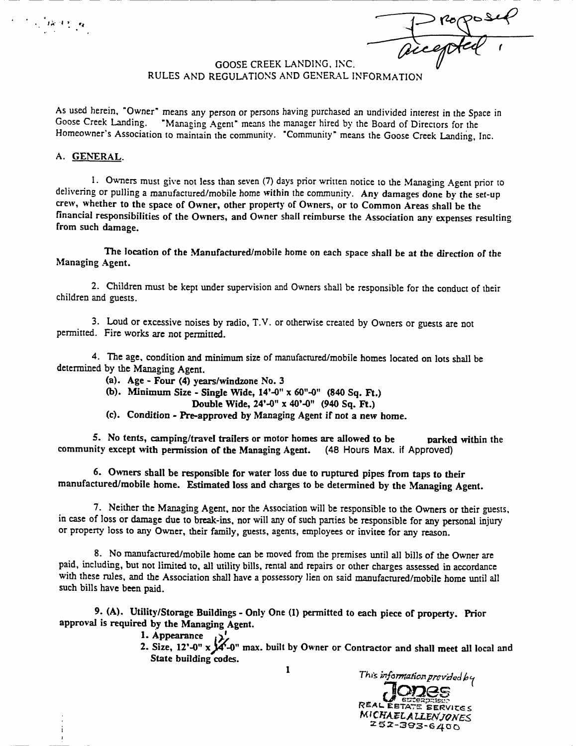$rac{r}{\sqrt{r}}$  $\frac{1}{2}$ 

## GOOSE CREEK LANDING, INC. RULES AND REGULATIONS AND GENERAL INFORMATION

As used herein, "Owner" means any person or persons having purchased an undivided interest in the Space in Goose Creek Landing. "Managing Agent" means the manager hired by the Board of Directors for the "Managing Agent" means the manager hired by the Board of Directors for the Homeowner's Association to maintain the community. "Community" means the Goose Creek Landing, Inc.

#### A. GENERAL.

 $\label{eq:2} \frac{1}{2} \left( \frac{1}{2} \sum_{i=1}^n \frac{1}{2} \frac{d_i}{2} \right) \frac{d_i}{2} \frac{d_i}{2} \frac{d_i}{2} \frac{d_i}{2} \frac{d_i}{2}$ 

1. Owners must give not less than seven (7) days prior written notice to the Managing Agent prior to delivering or pulling a manufactured/mobile home within the community. Any damages done by the set-up crew, whether to the space of Owner, other property of Owners, or to Common Areas shall be the financial responsibilities of the Owners, and Owner shall reimburse the Association any expenses resulting from such damage

The location of the Manufactured/mobile home on each space shall be at the direction of the Managing Agent

2 Children must be kept under supervision and Owners shall be responsible for the conduct of their children and guests

3. Loud or excessive noises by radio, T.V. or otherwise created by Owners or guests are not permitted. Fire works are not permitted.

4. The age, condition and minimum size of manufactured/mobile homes located on lots shall be determined by the Managing Agent.

- (a). Age Four  $(4)$  years/windzone No. 3
- (b). Minimum Size Single Wide,  $14^{\circ}-0^{\circ} \times 60^{\circ}-0^{\circ}$  (840 Sq. Ft.)
	- Double Wide,  $24' 0'' \times 40' 0''$  (940 Sq. Ft.)
- (c). Condition Pre-approved by Managing Agent if not a new home.

5. No tents, camping/travel trailers or motor homes are allowed to be parked within the nity except with permission of the Managing Agent.  $(48 \text{ Hours Max. if Approach})$ community except with permission of the Managing Agent.

6 Owners shall be responsible for water loss due to ruptured pipes from taps to their manufactured/mobile home. Estimated loss and charges to be determined by the Managing Agent.

7. Neither the Managing Agent, nor the Association will be responsible to the Owners or their guests, in case of loss or damage due to break-ins, nor will any of such parties be responsible for any personal injury or property loss to any Owner, their family, guests, agents, employees or invitee for any reason.

8. No manufactured/mobile home can be moved from the premises until all bills of the Owner are paid, including, but not limited to, all utility bills, rental and repairs or other charges assessed in accordance with these rules, and the Association shall have a possessory lien on said manufactured/mobile home until all such bills have been paid.

9. (A). Utility/Storage Buildings - Only One (1) permitted to each piece of property. Prior approval is required by the Managing Agent

1. Appearance

1. Appearance<br>2. Size, 12'-0" uildings<br>ging Ag<br>x X-0"<br>g codes. max built by Owner or Contractor and shall meet all local and State building codes. approval is required by the Managing Agent.<br>
2. Size,  $12^1 \text{O}^9$  x  $\cancel{X}^2 \text{O}^9$  max. built by Owner or Contractor and shall meet<br>
State building codes.<br>
1 This information provides<br>  $\sqrt{\frac{1}{1-\frac{1}{1-\frac{1}{1-\frac{1}{1-\frac{1}{$ 



1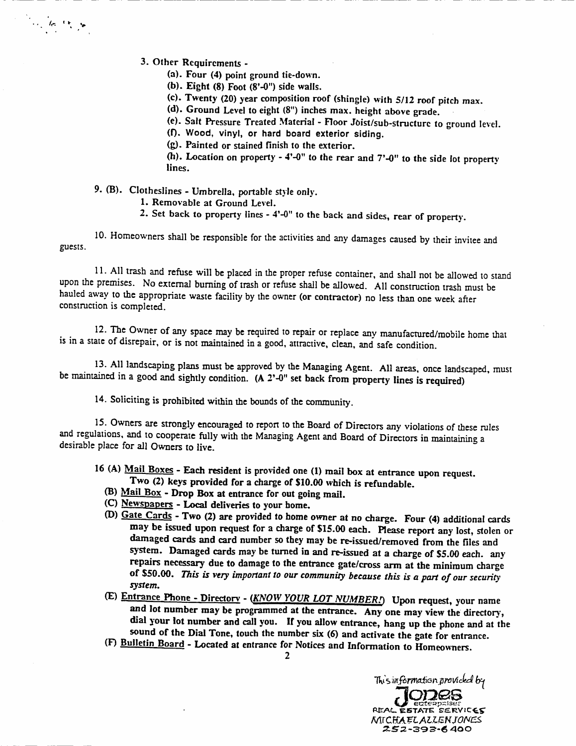3. Other Requirements -

riche (m. 18

- ier Requirements -<br>(a). Four (4) point ground tie-down.<br>. (a). Four (4) point ground tie-down.<br>(b). Eight (8) Foot (8'-0") side walls.
- 
- (b). Eight (8) Foot (8'-0") side walls.<br>(c). Eight (8) Foot (8'-0") side walls.<br>(c). Twenty (20) year composition roof (shingle) with 5/12 roof pitch max. (c). Twenty (20) year composition roof (shingle) with 5/12 roof (d). Ground Level to eight (8") inches max. height above grade.
- 
- (d). Ground Level to eight (8") inches max. height above grade.<br>(e). Salt Pressure Treated Material Floor Joist/sub-structure to ground level.<br>(f). Wood, vinyl, or hard board exterior siding.<br>(0) Painted or stained finis
- (f). Wood, vinyl, or hard board exterior siding.<br>(g). Painted or stained finish to the exterior.
- 

(h). Location on property  $-4$ -0" to the rear and  $7$ -0" to the side lot property lines.

9. (B). Clotheslines - Umbrella, portable style only.

- 1. Removable at Ground Level.
- 2. Set back to property lines  $-4'$ -0" to the back and sides, rear of property.

<sup>10</sup> Homeowners shall be responsible for the activities and any damages caused by their invitee and guests

11. All trash and refuse will be placed in the proper refuse container, and shall not be allowed to stand upon the premises. No external burning of trash or refuse shall be allowed. All construction trash must be hauled away to the appropriate waste facility by the owner (or contractor) no less than one week after construction is completed

12. The Owner of any space may be required to repair or replace any manufactured/mobile home that is in a state of disrepair, or is not maintained in a good, attractive, clean, and safe condition.

13. All landscaping plans must be approved by the Managing Agent. All areas, once landscaped, must be maintained in a good and sightly condition.  $(A 2<sup>2</sup>-0<sup>n</sup>$  set back from property lines is required)

14. Soliciting is prohibited within the bounds of the community.

<sup>15</sup> Owners are strongly encouraged to report to the Board of Directors any violations of these rules and regulations, and to cooperate fully with the Managing Agent and Board of Directors in maintaining a desirable place for all Owners to live

- 16 (A) Mail Boxes Each resident is provided one (1) mail box at entrance upon request.<br>Two (2) keys provided for a charge of \$10.00 which is refundable.
	-
	- (B)  $Mail Box Drop Box$  at entrance for out going mail.
	- $(C)$  Newspapers Local deliveries to your home.
	- (D) Gate Cards Two (2) are provided to home owner at no charge. Four (4) additional cards may be issued upon request for a charge of \$15.00 each. Please report any lost, stolen or damaged cards and card number so they may be re-issued/removed from the files and system. Damaged cards may be turned in and re-issued at a charge of \$5.00 each. any repairs necessary due to damage to the entrance gate/cross arm at the minimum charge of \$50.00. This is very important to our community because this is a part of our security system
	- (E) Entrance Phone Directory (KNOW YOUR LOT NUMBER!) Upon request, your name and lot number may be programmed at the entrance. Any one may view the directory, dial your lot number and call you. If you allow entrance, hang up the phone and at the sound of the Dial Tone, touch the number six (6) and activate the gate for entrance.
	- Sound of the Dial Tone, touch the number six (6) and activate the gate for entra<br>(F) <u>Bulletin Board</u> Located at entrance for Notices and Information to Homeowners.<br>
	<sup>7</sup>T<sub>th</sub>'s information provided



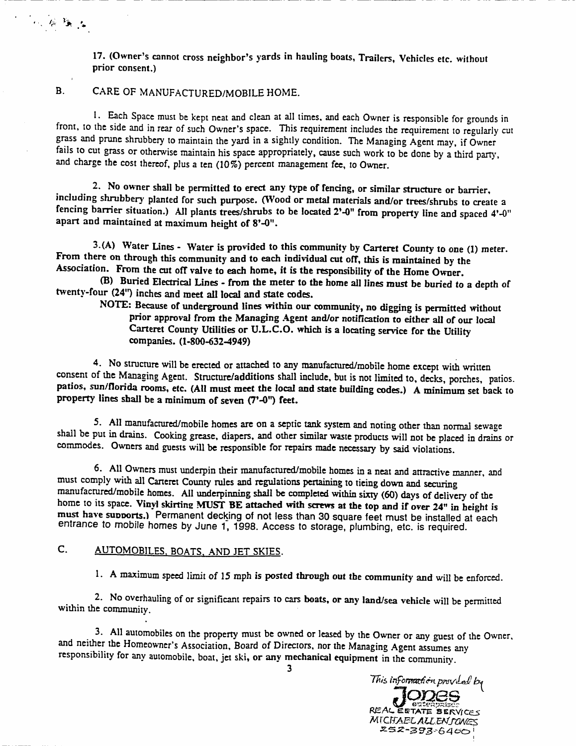17. (Owner's cannot cross neighbor's yards in hauling boats, Trailers, Vehicles etc. without prior consent

## B. CARE OF MANUFACTURED/MOBILE HOME.

<sup>r</sup> t <sup>a</sup>

1. Each Space must be kept neat and clean at all times, and each Owner is responsible for grounds in EXEMBLE TOME.<br>
1. Each Space must be kept neat and clean at all times, and each Owner is responsible for grounds in<br>
1. Each Space must be kept neat and clean at all times, and each Owner is responsible for grounds in<br>
1. grass and prune shrubbery to maintain the yard in a sightly condition. The Managing Agent may, if Owner fails to cut grass or otherwise maintain his space appropriately, cause such work to be done by a third party, and charge the cost thereof, plus a ten (10%) percent management fee, to Owner.

2. No owner shall be permitted to erect any type of fencing, or similar structure or barrier, including shrubbery planted for such purpose. (Wood or metal materials and/or trees/shrubs to create a fencing barrier situation.) All plants trees/shrubs to be located 2'-0" from property line and spaced 4'-0" apart and maintained at maximum height of  $8^\circ$ -0".

3.(A) Water Lines - Water is provided to this community by Carteret County to one (1) meter. From there on through this community and to each individual cut off, this is maintained by the Association. From the cut off valve to each home, it is the responsibility of the Home Owner.

(B) Buried Electrical Lines - from the meter to the home all lines must be buried to a depth of twenty-four (24") inches and meet all local and state codes.

NOTE: Because of underground lines within our community, no digging is permitted without<br>prior approval from the Managing Agent and/or notification to either all of our local The Carter County of State Representative County of the Maritan Circle Incident Check is a control of the Bream of the Managing Agent and/or Carteret County Utilities or U.L.C.O. which is a companies. (1-800-632-4949) Carteret County Utilities or U.L.C.O. which is a locating service for the Utility companies. (1-800-632-4949)

4. No structure will be erected or attached to any manufactured/mobile home except with written consent of the Managing Agent. Structure/additions shall include, but is not limited to, decks, porches, patios. patios, sun/florida rooms, etc. (All must meet the local and state building codes.) A minimum set back to property lines shall be a minimum of seven (7'-0") feet.

5. All manufactured/mobile homes are on a septic tank system and noting other than normal sewage shall be put in drains. Cooking grease, diapers, and other similar waste products will not be placed in drains or commodes. Owners and guests will be responsible for repairs made necessary by said violations.

6. All Owners must underpin their manufactured/mobile homes in a neat and attractive manner, and must comply with all Carteret County rules and regulations pertaining to tieing down and securing manufactured/mobile homes. All underpinning shall be completed within sixty (60) days of delivery of the home to its space. Vinyl skirting MUST BE attached with screws at the top and if over 24" in height is must have supports.) Permanent decking of not less than 30 square feet must be installed at each entrance to mobile homes by June 1, 1998. Access to storage, plumbing, etc. is required.

# C. AUTOMOBILES, BOATS, AND JET SKIES.

1. A maximum speed limit of 15 mph is posted through out the community and will be enforced.

2. No overhauling of or significant repairs to cars boats, or any land/sea vehicle will be permitted within the community.

3. All automobiles on the property must be owned or leased by the Owner or any guest of the Owner, and neither the Homeowner's Association, Board of Directors, nor the Managing Agent assumes any 1. A maximum speed limit of 15 mph is posted through out the community and will be t<br>
2. No overhauling of or significant repairs to cars boats, or any land/sea vehicle will be p<br>
within the community.<br>
3. All automobiles



3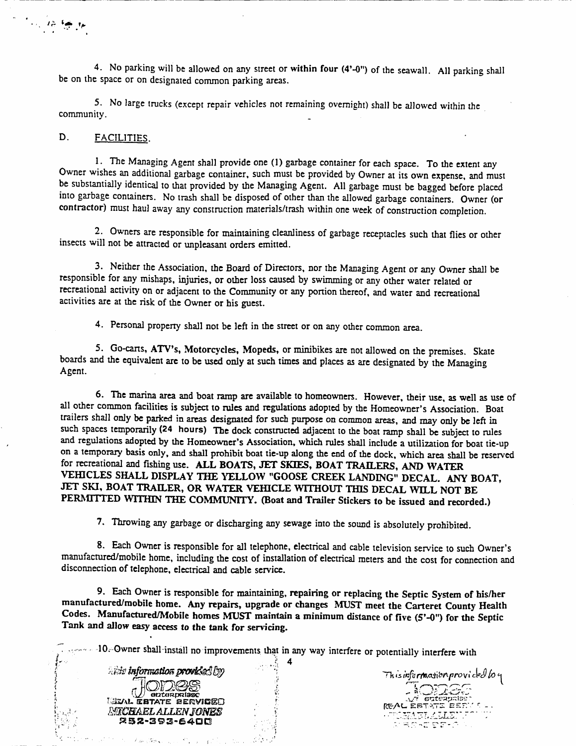4. No parking will be allowed on any street or within four (4'-0") of the seawall. All parking shall be on the space or on designated common parking areas

5. No large trucks (except repair vehicles not remaining overnight) shall be allowed within the community

#### D. FACILITIES.

to the family

1. The Managing Agent shall provide one (1) garbage container for each space. To the extent any Owner wishes an additional garbage container, such must be provided by Owner at its own expense, and must be substantially identical to that provided by the Managing Agent. All garbage must be bagged before placed into garbage containers. No trash shall be disposed of other than the allowed garbage containers. Owner (or contractor) must haul away any construction materials/trash within one week of construction completion.

2 Owners are responsible for maintaining cleanliness of garbage receptacles such that flies or other insects will not be attracted or unpleasant orders emitted

3. Neither the Association, the Board of Directors, nor the Managing Agent or any Owner shall be responsible for any mishaps, injuries, or other loss caused by swimming or any other water related or recreational activity on or adjacent to the Community or any portion thereof, and water and recreational activities are at the risk of the Owner or his guest

4. Personal property shall not be left in the street or on any other common area.

5. Go-carts, ATV's, Motorcycles, Mopeds, or minibikes are not allowed on the premises. Skate boards and the equivalent are to be used only at such times and places as are designated by the Managing Agent

6. The marina area and boat ramp are available to homeowners. However, their use, as well as use of all other common facilities is subject to rules and regulations adopted by the Homeowner's Association. Boat 4. Personal property shall not be left in the street or on any other common area.<br>5. Go-carts, ATV's, Motorcycles, Mopeds, or minibikes are not allowed on the premises. Skate<br>boards and the equivalent are to be used only a trailers shall only be parked in areas designated for such purpose on common areas and may only be left in such spaces temporarily (24 hours) The dock constructed adjacent to the boat ramp shall be subject to rules and regulations adopted by the Homeowner's Association, which rules shall include a utilization for boat tie-up boards and the equivalent are to be used only at such times and places as are designated by the Managing<br>Agent.<br>6. The marina area and boat ramp are available to homeowners. However, their use, as well as use all<br>other com on a temporary basis only, and shall prohibit boat tie-up along the end of the dock, which area shall be reserved for recreational and fishing use. ALL BOATS, JET SKIES, BOAT TRAILERS, AND WATER VEHICLES SHALL DISPLAY THE YELLOW "GOOSE CREEK LANDING" DECAL. ANY BOAT, JET SKI, BOAT TRAILER, OR WATER VEHICLE WITHOUT THIS DECAL WILL NOT BE PERMITTED WITHIN THE COMMUNITY. (Boat and Trailer Stickers to be issued and recorded.)

7. Throwing any garbage or discharging any sewage into the sound is absolutely prohibited.

8. Each Owner is responsible for all telephone, electrical and cable television service to such Owner's TERNITTED WITHIN THE COMMUNITY. (Boat and Trailer Stickers to be issued and recorded.)<br>7. Throwing any garbage or discharging any sewage into the sound is absolutely prohibited.<br>8. Each Owner is responsible for all telepho disconnection of telephone, electrical and cable service.

9. Each Owner is responsible for maintaining, repairing or replacing the Septic System of his/her 9. Each Owner is responsible for maintaining, repairing or replacing the Septic System of his/her<br>manufactured/mobile home. Any repairs, upgrade or changes MUST meet the Carteret County Health manufactured/mobile home. Any repairs, upgrade or changes MUST meet the Carteret County Healt<br>Codes. Manufactured/Mobile homes MUST maintain a minimum distance of five (5'-0") for the Septic<br>Tank and allow easy access to t Codes. Manufactured/Mobile homes MUST maintain a minimum distance of five (5'-0") for the Septic Tank and allow easy access to the tank for servicing.

10. Owner shall install no improvements that in any way interfere or potentially interfere with information provided by<br>
information provided by<br>
a low more more than the more more than the more than the more than the more than the more than the more of the<br>
a low more than the more than the more than the more than t

4

**ODBS ELIZAL ESTATE SERVICEO** OULASS<br>ELAL ESTATE BERVISE<br>MICHAEL ALLEN JONES<br>252-353-6400 ML ESTATE BERVIC<br>MENAEL ALLEN JON<br>252-393-6400<br>252-393-6400

 $\pm$  .

 $\mathcal{E}_{\text{obs}}/ \mathcal{R}_{\text{P} \text{A}}$ 

 $\frac{1}{2}$  and  $\frac{1}{2}$ 

e milion

REAL ESTATE EEDV 5 This information provided to y LEMULAE<mark>LEM</mark>U